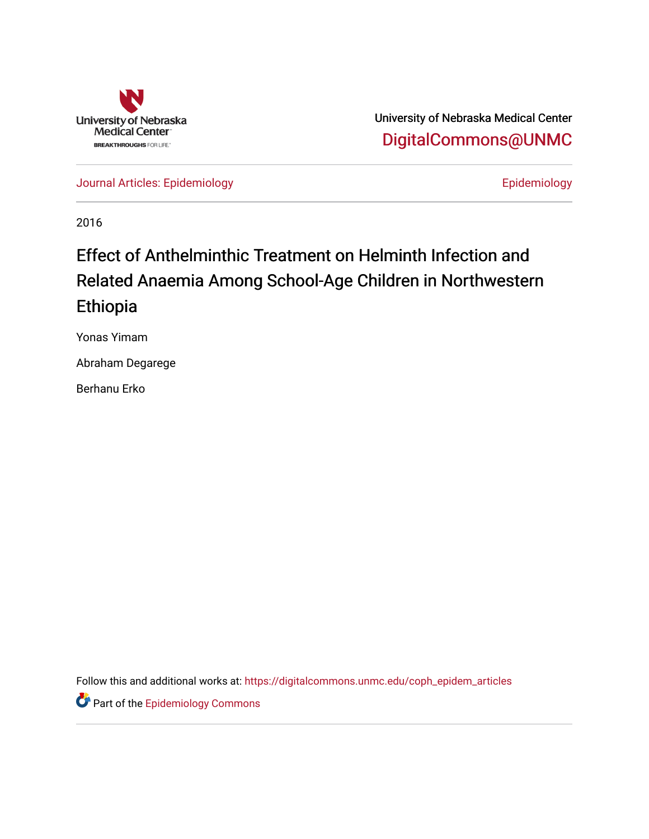

University of Nebraska Medical Center [DigitalCommons@UNMC](https://digitalcommons.unmc.edu/) 

[Journal Articles: Epidemiology](https://digitalcommons.unmc.edu/coph_epidem_articles) **Example 2018** Epidemiology

2016

## Effect of Anthelminthic Treatment on Helminth Infection and Related Anaemia Among School-Age Children in Northwestern Ethiopia

Yonas Yimam

Abraham Degarege

Berhanu Erko

Follow this and additional works at: [https://digitalcommons.unmc.edu/coph\\_epidem\\_articles](https://digitalcommons.unmc.edu/coph_epidem_articles?utm_source=digitalcommons.unmc.edu%2Fcoph_epidem_articles%2F126&utm_medium=PDF&utm_campaign=PDFCoverPages)

**Part of the Epidemiology Commons**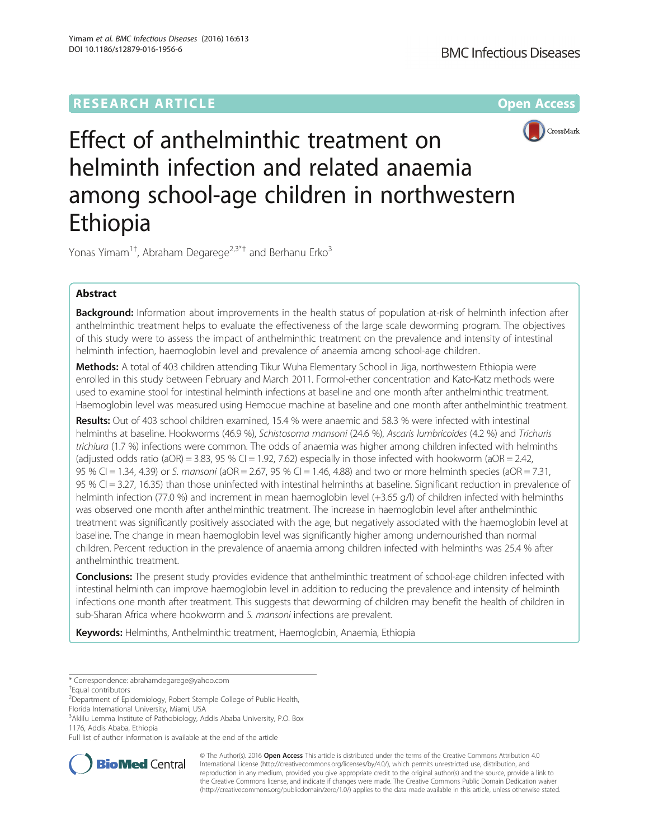## **RESEARCH ARTICLE External Structure Community Community Community Community Community Community Community Community**



# Effect of anthelminthic treatment on helminth infection and related anaemia among school-age children in northwestern Ethiopia

Yonas Yimam<sup>1†</sup>, Abraham Degarege<sup>2,3\*†</sup> and Berhanu Erko<sup>3</sup>

## Abstract

**Background:** Information about improvements in the health status of population at-risk of helminth infection after anthelminthic treatment helps to evaluate the effectiveness of the large scale deworming program. The objectives of this study were to assess the impact of anthelminthic treatment on the prevalence and intensity of intestinal helminth infection, haemoglobin level and prevalence of anaemia among school-age children.

Methods: A total of 403 children attending Tikur Wuha Elementary School in Jiga, northwestern Ethiopia were enrolled in this study between February and March 2011. Formol-ether concentration and Kato-Katz methods were used to examine stool for intestinal helminth infections at baseline and one month after anthelminthic treatment. Haemoglobin level was measured using Hemocue machine at baseline and one month after anthelminthic treatment.

Results: Out of 403 school children examined, 15.4 % were anaemic and 58.3 % were infected with intestinal helminths at baseline. Hookworms (46.9 %), Schistosoma mansoni (24.6 %), Ascaris lumbricoides (4.2 %) and Trichuris trichiura (1.7 %) infections were common. The odds of anaemia was higher among children infected with helminths (adjusted odds ratio (aOR) = 3.83, 95 % CI = 1.92, 7.62) especially in those infected with hookworm (aOR = 2.42, 95 % CI = 1.34, 4.39) or S. mansoni (aOR = 2.67, 95 % CI = 1.46, 4.88) and two or more helminth species (aOR = 7.31, 95 % CI = 3.27, 16.35) than those uninfected with intestinal helminths at baseline. Significant reduction in prevalence of helminth infection (77.0 %) and increment in mean haemoglobin level (+3.65 g/l) of children infected with helminths was observed one month after anthelminthic treatment. The increase in haemoglobin level after anthelminthic treatment was significantly positively associated with the age, but negatively associated with the haemoglobin level at baseline. The change in mean haemoglobin level was significantly higher among undernourished than normal children. Percent reduction in the prevalence of anaemia among children infected with helminths was 25.4 % after anthelminthic treatment.

Conclusions: The present study provides evidence that anthelminthic treatment of school-age children infected with intestinal helminth can improve haemoglobin level in addition to reducing the prevalence and intensity of helminth infections one month after treatment. This suggests that deworming of children may benefit the health of children in sub-Sharan Africa where hookworm and S. mansoni infections are prevalent.

Keywords: Helminths, Anthelminthic treatment, Haemoglobin, Anaemia, Ethiopia

\* Correspondence: abrahamdegarege@yahoo.com

3 Aklilu Lemma Institute of Pathobiology, Addis Ababa University, P.O. Box

Full list of author information is available at the end of the article



© The Author(s). 2016 Open Access This article is distributed under the terms of the Creative Commons Attribution 4.0 International License (http://creativecommons.org/licenses/by/4.0/), which permits unrestricted use, distribution, and reproduction in any medium, provided you give appropriate credit to the original author(s) and the source, provide a link to the Creative Commons license, and indicate if changes were made. The Creative Commons Public Domain Dedication waiver (http://creativecommons.org/publicdomain/zero/1.0/) applies to the data made available in this article, unless otherwise stated.

<sup>†</sup> Equal contributors

<sup>&</sup>lt;sup>2</sup>Department of Epidemiology, Robert Stemple College of Public Health, Florida International University, Miami, USA

<sup>1176,</sup> Addis Ababa, Ethiopia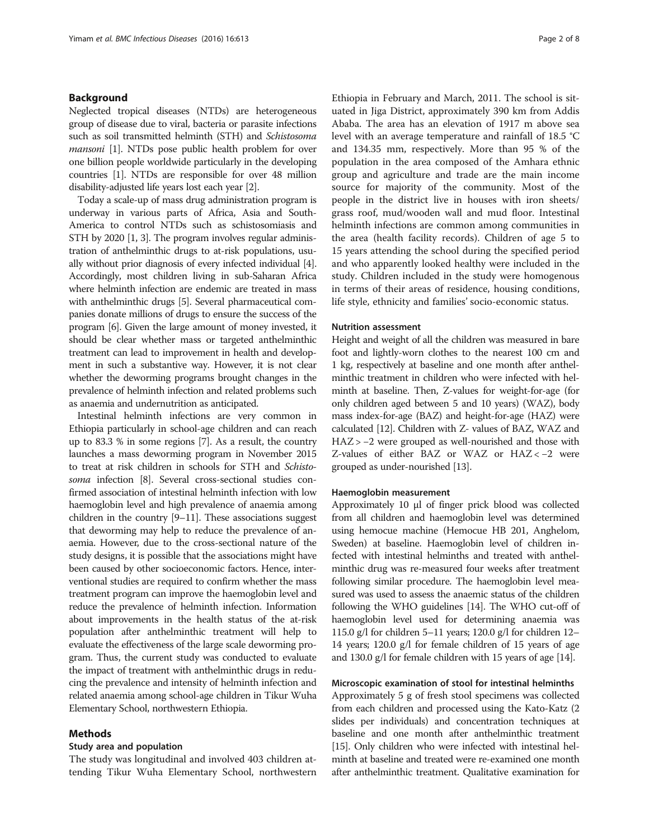## Background

Neglected tropical diseases (NTDs) are heterogeneous group of disease due to viral, bacteria or parasite infections such as soil transmitted helminth (STH) and Schistosoma *mansoni* [1]. NTDs pose public health problem for over one billion people worldwide particularly in the developing countries [1]. NTDs are responsible for over 48 million disability-adjusted life years lost each year [2].

Today a scale-up of mass drug administration program is underway in various parts of Africa, Asia and South-America to control NTDs such as schistosomiasis and STH by 2020 [1, 3]. The program involves regular administration of anthelminthic drugs to at-risk populations, usually without prior diagnosis of every infected individual [4]. Accordingly, most children living in sub-Saharan Africa where helminth infection are endemic are treated in mass with anthelminthic drugs [5]. Several pharmaceutical companies donate millions of drugs to ensure the success of the program [6]. Given the large amount of money invested, it should be clear whether mass or targeted anthelminthic treatment can lead to improvement in health and development in such a substantive way. However, it is not clear whether the deworming programs brought changes in the prevalence of helminth infection and related problems such as anaemia and undernutrition as anticipated.

Intestinal helminth infections are very common in Ethiopia particularly in school-age children and can reach up to 83.3 % in some regions [7]. As a result, the country launches a mass deworming program in November 2015 to treat at risk children in schools for STH and Schistosoma infection [8]. Several cross-sectional studies confirmed association of intestinal helminth infection with low haemoglobin level and high prevalence of anaemia among children in the country [9–11]. These associations suggest that deworming may help to reduce the prevalence of anaemia. However, due to the cross-sectional nature of the study designs, it is possible that the associations might have been caused by other socioeconomic factors. Hence, interventional studies are required to confirm whether the mass treatment program can improve the haemoglobin level and reduce the prevalence of helminth infection. Information about improvements in the health status of the at-risk population after anthelminthic treatment will help to evaluate the effectiveness of the large scale deworming program. Thus, the current study was conducted to evaluate the impact of treatment with anthelminthic drugs in reducing the prevalence and intensity of helminth infection and related anaemia among school-age children in Tikur Wuha Elementary School, northwestern Ethiopia.

## **Methods**

## Study area and population

The study was longitudinal and involved 403 children attending Tikur Wuha Elementary School, northwestern Ethiopia in February and March, 2011. The school is situated in Jiga District, approximately 390 km from Addis Ababa. The area has an elevation of 1917 m above sea level with an average temperature and rainfall of 18.5 °C and 134.35 mm, respectively. More than 95 % of the population in the area composed of the Amhara ethnic group and agriculture and trade are the main income source for majority of the community. Most of the people in the district live in houses with iron sheets/ grass roof, mud/wooden wall and mud floor. Intestinal helminth infections are common among communities in the area (health facility records). Children of age 5 to 15 years attending the school during the specified period and who apparently looked healthy were included in the study. Children included in the study were homogenous in terms of their areas of residence, housing conditions, life style, ethnicity and families' socio-economic status.

### Nutrition assessment

Height and weight of all the children was measured in bare foot and lightly-worn clothes to the nearest 100 cm and 1 kg, respectively at baseline and one month after anthelminthic treatment in children who were infected with helminth at baseline. Then, Z-values for weight-for-age (for only children aged between 5 and 10 years) (WAZ), body mass index-for-age (BAZ) and height-for-age (HAZ) were calculated [12]. Children with Z- values of BAZ, WAZ and HAZ > −2 were grouped as well-nourished and those with Z-values of either BAZ or WAZ or HAZ < −2 were grouped as under-nourished [13].

#### Haemoglobin measurement

Approximately 10 μl of finger prick blood was collected from all children and haemoglobin level was determined using hemocue machine (Hemocue HB 201, Anghelom, Sweden) at baseline. Haemoglobin level of children infected with intestinal helminths and treated with anthelminthic drug was re-measured four weeks after treatment following similar procedure. The haemoglobin level measured was used to assess the anaemic status of the children following the WHO guidelines [14]. The WHO cut-off of haemoglobin level used for determining anaemia was 115.0 g/l for children 5–11 years; 120.0 g/l for children 12– 14 years; 120.0 g/l for female children of 15 years of age and 130.0 g/l for female children with 15 years of age [14].

## Microscopic examination of stool for intestinal helminths

Approximately 5 g of fresh stool specimens was collected from each children and processed using the Kato-Katz (2 slides per individuals) and concentration techniques at baseline and one month after anthelminthic treatment [15]. Only children who were infected with intestinal helminth at baseline and treated were re-examined one month after anthelminthic treatment. Qualitative examination for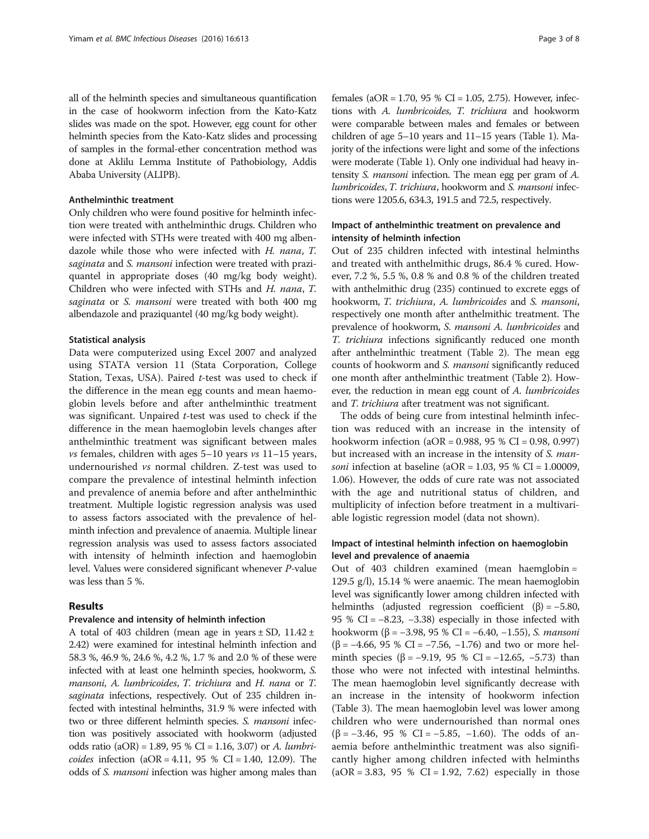all of the helminth species and simultaneous quantification in the case of hookworm infection from the Kato-Katz slides was made on the spot. However, egg count for other helminth species from the Kato-Katz slides and processing of samples in the formal-ether concentration method was done at Aklilu Lemma Institute of Pathobiology, Addis Ababa University (ALIPB).

#### Anthelminthic treatment

Only children who were found positive for helminth infection were treated with anthelminthic drugs. Children who were infected with STHs were treated with 400 mg albendazole while those who were infected with H. nana, T. saginata and S. mansoni infection were treated with praziquantel in appropriate doses (40 mg/kg body weight). Children who were infected with STHs and H. nana, T. saginata or S. mansoni were treated with both 400 mg albendazole and praziquantel (40 mg/kg body weight).

#### Statistical analysis

Data were computerized using Excel 2007 and analyzed using STATA version 11 (Stata Corporation, College Station, Texas, USA). Paired t-test was used to check if the difference in the mean egg counts and mean haemoglobin levels before and after anthelminthic treatment was significant. Unpaired *t*-test was used to check if the difference in the mean haemoglobin levels changes after anthelminthic treatment was significant between males  $vs$  females, children with ages 5-10 years  $vs$  11-15 years, undernourished vs normal children. Z-test was used to compare the prevalence of intestinal helminth infection and prevalence of anemia before and after anthelminthic treatment. Multiple logistic regression analysis was used to assess factors associated with the prevalence of helminth infection and prevalence of anaemia. Multiple linear regression analysis was used to assess factors associated with intensity of helminth infection and haemoglobin level. Values were considered significant whenever P-value was less than 5 %.

## **Results**

### Prevalence and intensity of helminth infection

A total of 403 children (mean age in years  $\pm$  SD, 11.42  $\pm$ 2.42) were examined for intestinal helminth infection and 58.3 %, 46.9 %, 24.6 %, 4.2 %, 1.7 % and 2.0 % of these were infected with at least one helminth species, hookworm, S. mansoni, A. lumbricoides, T. trichiura and H. nana or T. saginata infections, respectively. Out of 235 children infected with intestinal helminths, 31.9 % were infected with two or three different helminth species. S. mansoni infection was positively associated with hookworm (adjusted odds ratio  $(aOR) = 1.89$ , 95 % CI = 1.16, 3.07) or A. lumbri*coides* infection  $(aOR = 4.11, 95 % CI = 1.40, 12.09)$ . The odds of S. *mansoni* infection was higher among males than

females (aOR = 1.70, 95 % CI = 1.05, 2.75). However, infections with A. lumbricoides, T. trichiura and hookworm were comparable between males and females or between children of age 5–10 years and 11–15 years (Table 1). Majority of the infections were light and some of the infections were moderate (Table 1). Only one individual had heavy intensity S. mansoni infection. The mean egg per gram of A. lumbricoides, T. trichiura, hookworm and S. mansoni infections were 1205.6, 634.3, 191.5 and 72.5, respectively.

## Impact of anthelminthic treatment on prevalence and intensity of helminth infection

Out of 235 children infected with intestinal helminths and treated with anthelmithic drugs, 86.4 % cured. However, 7.2 %, 5.5 %, 0.8 % and 0.8 % of the children treated with anthelmithic drug (235) continued to excrete eggs of hookworm, T. trichiura, A. lumbricoides and S. mansoni, respectively one month after anthelmithic treatment. The prevalence of hookworm, S. mansoni A. lumbricoides and T. trichiura infections significantly reduced one month after anthelminthic treatment (Table 2). The mean egg counts of hookworm and S. mansoni significantly reduced one month after anthelminthic treatment (Table 2). However, the reduction in mean egg count of A. lumbricoides and T. trichiura after treatment was not significant.

The odds of being cure from intestinal helminth infection was reduced with an increase in the intensity of hookworm infection (aOR = 0.988, 95 % CI = 0.98, 0.997) but increased with an increase in the intensity of S. mansoni infection at baseline ( $aOR = 1.03$ , 95 % CI = 1.00009, 1.06). However, the odds of cure rate was not associated with the age and nutritional status of children, and multiplicity of infection before treatment in a multivariable logistic regression model (data not shown).

## Impact of intestinal helminth infection on haemoglobin level and prevalence of anaemia

Out of 403 children examined (mean haemglobin = 129.5 g/l), 15.14 % were anaemic. The mean haemoglobin level was significantly lower among children infected with helminths (adjusted regression coefficient  $(\beta) = -5.80$ , 95 % CI =  $-8.23$ ,  $-3.38$ ) especially in those infected with hookworm (β = -3.98, 95 % CI = -6.40, -1.55), *S. mansoni*  $(β = -4.66, 95 % CI = -7.56, -1.76)$  and two or more helminth species (β = −9.19, 95 % CI = −12.65, −5.73) than those who were not infected with intestinal helminths. The mean haemoglobin level significantly decrease with an increase in the intensity of hookworm infection (Table 3). The mean haemoglobin level was lower among children who were undernourished than normal ones (β = −3.46, 95 % CI = −5.85, −1.60). The odds of anaemia before anthelminthic treatment was also significantly higher among children infected with helminths  $(aOR = 3.83, 95 % CI = 1.92, 7.62)$  especially in those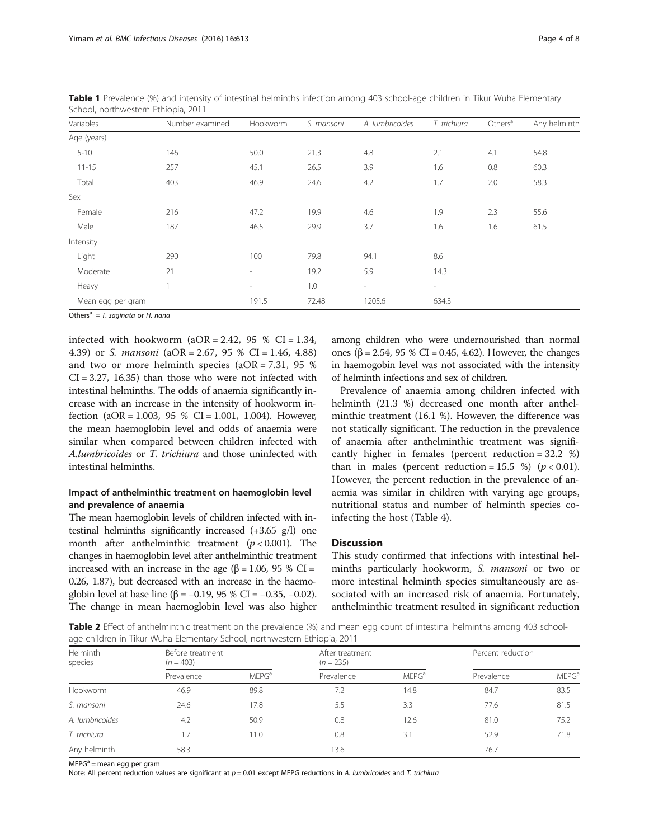| Variables         | Number examined | Hookworm                 | S. mansoni | A. lumbricoides | T. trichiura             | Others <sup>a</sup> | Any helminth |
|-------------------|-----------------|--------------------------|------------|-----------------|--------------------------|---------------------|--------------|
| Age (years)       |                 |                          |            |                 |                          |                     |              |
| $5 - 10$          | 146             | 50.0                     | 21.3       | 4.8             | 2.1                      | 4.1                 | 54.8         |
| $11 - 15$         | 257             | 45.1                     | 26.5       | 3.9             | 1.6                      | 0.8                 | 60.3         |
| Total             | 403             | 46.9                     | 24.6       | 4.2             | 1.7                      | 2.0                 | 58.3         |
| Sex               |                 |                          |            |                 |                          |                     |              |
| Female            | 216             | 47.2                     | 19.9       | 4.6             | 1.9                      | 2.3                 | 55.6         |
| Male              | 187             | 46.5                     | 29.9       | 3.7             | 1.6                      | 1.6                 | 61.5         |
| Intensity         |                 |                          |            |                 |                          |                     |              |
| Light             | 290             | 100                      | 79.8       | 94.1            | 8.6                      |                     |              |
| Moderate          | 21              | $\sim$                   | 19.2       | 5.9             | 14.3                     |                     |              |
| Heavy             | 1               | $\overline{\phantom{a}}$ | 1.0        | $\sim$          | $\overline{\phantom{a}}$ |                     |              |
| Mean egg per gram |                 | 191.5                    | 72.48      | 1205.6          | 634.3                    |                     |              |

Table 1 Prevalence (%) and intensity of intestinal helminths infection among 403 school-age children in Tikur Wuha Elementary School, northwestern Ethiopia, 2011

Others<sup>a</sup> = T. saginata or H. nana

infected with hookworm  $(aOR = 2.42, 95 % CI = 1.34,$ 4.39) or S. mansoni  $(aOR = 2.67, 95 % CI = 1.46, 4.88)$ and two or more helminth species (aOR = 7.31, 95 %  $CI = 3.27, 16.35$ ) than those who were not infected with intestinal helminths. The odds of anaemia significantly increase with an increase in the intensity of hookworm infection  $(aOR = 1.003, 95 % CI = 1.001, 1.004)$ . However, the mean haemoglobin level and odds of anaemia were similar when compared between children infected with A.lumbricoides or T. trichiura and those uninfected with intestinal helminths.

## Impact of anthelminthic treatment on haemoglobin level and prevalence of anaemia

The mean haemoglobin levels of children infected with intestinal helminths significantly increased (+3.65 g/l) one month after anthelminthic treatment  $(p < 0.001)$ . The changes in haemoglobin level after anthelminthic treatment increased with an increase in the age (β = 1.06, 95 % CI = 0.26, 1.87), but decreased with an increase in the haemoglobin level at base line (β = −0.19, 95 % CI = −0.35, −0.02). The change in mean haemoglobin level was also higher

among children who were undernourished than normal ones (β = 2.54, 95 % CI = 0.45, 4.62). However, the changes in haemogobin level was not associated with the intensity of helminth infections and sex of children.

Prevalence of anaemia among children infected with helminth (21.3 %) decreased one month after anthelminthic treatment (16.1 %). However, the difference was not statically significant. The reduction in the prevalence of anaemia after anthelminthic treatment was significantly higher in females (percent reduction = 32.2 %) than in males (percent reduction = 15.5 %) ( $p < 0.01$ ). However, the percent reduction in the prevalence of anaemia was similar in children with varying age groups, nutritional status and number of helminth species coinfecting the host (Table 4).

## **Discussion**

This study confirmed that infections with intestinal helminths particularly hookworm, S. mansoni or two or more intestinal helminth species simultaneously are associated with an increased risk of anaemia. Fortunately, anthelminthic treatment resulted in significant reduction

Table 2 Effect of anthelminthic treatment on the prevalence (%) and mean egg count of intestinal helminths among 403 schoolage children in Tikur Wuha Elementary School, northwestern Ethiopia, 2011

| Helminth<br>species | Before treatment<br>$(n = 403)$ |                   | After treatment<br>$(n = 235)$ |                   | Percent reduction |                   |  |
|---------------------|---------------------------------|-------------------|--------------------------------|-------------------|-------------------|-------------------|--|
|                     | Prevalence                      | MEPG <sup>a</sup> | Prevalence                     | MEPG <sup>a</sup> | Prevalence        | MEPG <sup>a</sup> |  |
| Hookworm            | 46.9                            | 89.8              | 7.2                            | 14.8              | 84.7              | 83.5              |  |
| S. mansoni          | 24.6                            | 17.8              | 5.5                            | 3.3               | 77.6              | 81.5              |  |
| A. lumbricoides     | 4.2                             | 50.9              | 0.8                            | 12.6              | 81.0              | 75.2              |  |
| T. trichiura        |                                 | 11.0              | 0.8                            | 3.1               | 52.9              | 71.8              |  |
| Any helminth        | 58.3                            |                   | 13.6                           |                   | 76.7              |                   |  |

MEPG<sup>a</sup> = mean egg per gram

Note: All percent reduction values are significant at  $p = 0.01$  except MEPG reductions in A. lumbricoides and T. trichiura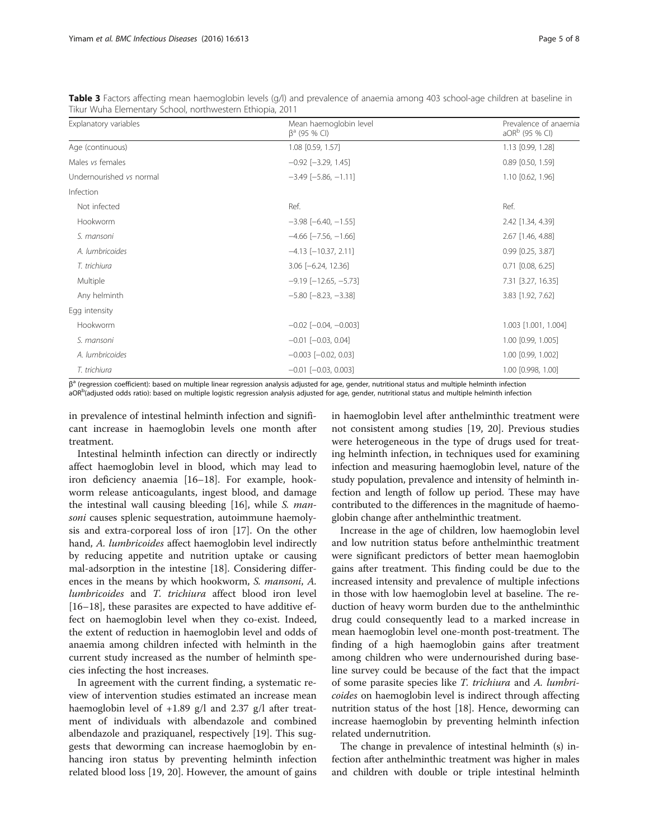| Explanatory variables    | Mean haemoglobin level<br>$βa$ (95 % CI) | Prevalence of anaemia<br>aOR <sup>b</sup> (95 % CI) |
|--------------------------|------------------------------------------|-----------------------------------------------------|
| Age (continuous)         | 1.08 [0.59, 1.57]                        | 1.13 [0.99, 1.28]                                   |
| Males vs females         | $-0.92$ [ $-3.29$ , 1.45]                | 0.89 [0.50, 1.59]                                   |
| Undernourished vs normal | $-3.49$ [ $-5.86$ , $-1.11$ ]            | 1.10 [0.62, 1.96]                                   |
| Infection                |                                          |                                                     |
| Not infected             | Ref.                                     | Ref.                                                |
| Hookworm                 | $-3.98$ $[-6.40, -1.55]$                 | 2.42 [1.34, 4.39]                                   |
| S. mansoni               | $-4.66$ [ $-7.56$ , $-1.66$ ]            | 2.67 [1.46, 4.88]                                   |
| A. lumbricoides          | $-4.13$ [ $-10.37$ , 2.11]               | 0.99 [0.25, 3.87]                                   |
| T. trichiura             | 3.06 [-6.24, 12.36]                      | $0.71$ [0.08, 6.25]                                 |
| Multiple                 | $-9.19$ [ $-12.65$ , $-5.73$ ]           | 7.31 [3.27, 16.35]                                  |
| Any helminth             | $-5.80$ $[-8.23, -3.38]$                 | 3.83 [1.92, 7.62]                                   |
| Egg intensity            |                                          |                                                     |
| Hookworm                 | $-0.02$ [ $-0.04$ , $-0.003$ ]           | 1.003 [1.001, 1.004]                                |
| S. mansoni               | $-0.01$ $[-0.03, 0.04]$                  | 1.00 [0.99, 1.005]                                  |
| A. lumbricoides          | $-0.003$ $[-0.02, 0.03]$                 | 1.00 [0.99, 1.002]                                  |
| T. trichiura             | $-0.01$ $[-0.03, 0.003]$                 | 1.00 [0.998, 1.00]                                  |

Table 3 Factors affecting mean haemoglobin levels (g/l) and prevalence of anaemia among 403 school-age children at baseline in Tikur Wuha Elementary School, northwestern Ethiopia, 2011

 $β<sup>a</sup>$  (regression coefficient): based on multiple linear regression analysis adjusted for age, gender, nutritional status and multiple helminth infection aOR<sup>b</sup>(adjusted odds ratio): based on multiple logistic regression analysis adjusted for age, gender, nutritional status and multiple helminth infection

in prevalence of intestinal helminth infection and significant increase in haemoglobin levels one month after treatment.

Intestinal helminth infection can directly or indirectly affect haemoglobin level in blood, which may lead to iron deficiency anaemia [16–18]. For example, hookworm release anticoagulants, ingest blood, and damage the intestinal wall causing bleeding [16], while S. mansoni causes splenic sequestration, autoimmune haemolysis and extra-corporeal loss of iron [17]. On the other hand, A. lumbricoides affect haemoglobin level indirectly by reducing appetite and nutrition uptake or causing mal-adsorption in the intestine [18]. Considering differences in the means by which hookworm, S. mansoni, A. lumbricoides and T. trichiura affect blood iron level [16–18], these parasites are expected to have additive effect on haemoglobin level when they co-exist. Indeed, the extent of reduction in haemoglobin level and odds of anaemia among children infected with helminth in the current study increased as the number of helminth species infecting the host increases.

In agreement with the current finding, a systematic review of intervention studies estimated an increase mean haemoglobin level of +1.89 g/l and 2.37 g/l after treatment of individuals with albendazole and combined albendazole and praziquanel, respectively [19]. This suggests that deworming can increase haemoglobin by enhancing iron status by preventing helminth infection related blood loss [19, 20]. However, the amount of gains

in haemoglobin level after anthelminthic treatment were not consistent among studies [19, 20]. Previous studies were heterogeneous in the type of drugs used for treating helminth infection, in techniques used for examining infection and measuring haemoglobin level, nature of the study population, prevalence and intensity of helminth infection and length of follow up period. These may have contributed to the differences in the magnitude of haemoglobin change after anthelminthic treatment.

Increase in the age of children, low haemoglobin level and low nutrition status before anthelminthic treatment were significant predictors of better mean haemoglobin gains after treatment. This finding could be due to the increased intensity and prevalence of multiple infections in those with low haemoglobin level at baseline. The reduction of heavy worm burden due to the anthelminthic drug could consequently lead to a marked increase in mean haemoglobin level one-month post-treatment. The finding of a high haemoglobin gains after treatment among children who were undernourished during baseline survey could be because of the fact that the impact of some parasite species like T. trichiura and A. lumbricoides on haemoglobin level is indirect through affecting nutrition status of the host [18]. Hence, deworming can increase haemoglobin by preventing helminth infection related undernutrition.

The change in prevalence of intestinal helminth (s) infection after anthelminthic treatment was higher in males and children with double or triple intestinal helminth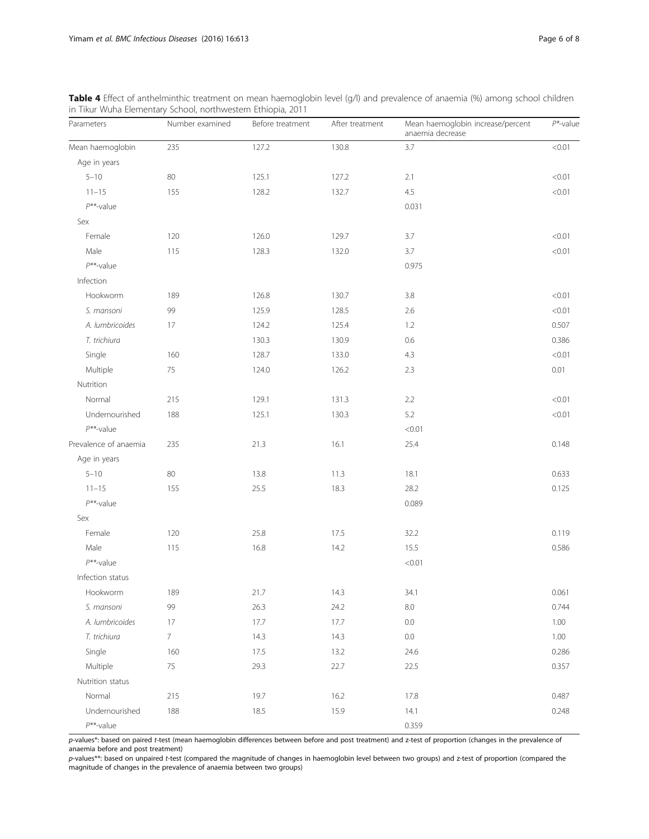| Parameters            | Number examined | Before treatment | After treatment | Mean haemoglobin increase/percent<br>anaemia decrease | $P^*$ -value |
|-----------------------|-----------------|------------------|-----------------|-------------------------------------------------------|--------------|
| Mean haemoglobin      | 235             | 127.2            | 130.8           | 3.7                                                   | < 0.01       |
| Age in years          |                 |                  |                 |                                                       |              |
| $5 - 10$              | 80              | 125.1            | 127.2           | 2.1                                                   | < 0.01       |
| $11 - 15$             | 155             | 128.2            | 132.7           | 4.5                                                   | < 0.01       |
| $P^{**}$ -value       |                 |                  |                 | 0.031                                                 |              |
| Sex                   |                 |                  |                 |                                                       |              |
| Female                | 120             | 126.0            | 129.7           | 3.7                                                   | < 0.01       |
| Male                  | 115             | 128.3            | 132.0           | $3.7\,$                                               | < 0.01       |
| $P^{**}$ -value       |                 |                  |                 | 0.975                                                 |              |
| Infection             |                 |                  |                 |                                                       |              |
| Hookworm              | 189             | 126.8            | 130.7           | $3.8\,$                                               | < 0.01       |
| S. mansoni            | 99              | 125.9            | 128.5           | 2.6                                                   | < 0.01       |
| A. lumbricoides       | 17              | 124.2            | 125.4           | 1.2                                                   | 0.507        |
| T. trichiura          |                 | 130.3            | 130.9           | 0.6                                                   | 0.386        |
| Single                | 160             | 128.7            | 133.0           | 4.3                                                   | < 0.01       |
| Multiple              | 75              | 124.0            | 126.2           | $2.3\,$                                               | 0.01         |
| Nutrition             |                 |                  |                 |                                                       |              |
| Normal                | 215             | 129.1            | 131.3           | 2.2                                                   | < 0.01       |
| Undernourished        | 188             | 125.1            | 130.3           | 5.2                                                   | < 0.01       |
| $P^{**}$ -value       |                 |                  |                 | < 0.01                                                |              |
| Prevalence of anaemia | 235             | 21.3             | 16.1            | 25.4                                                  | 0.148        |
| Age in years          |                 |                  |                 |                                                       |              |
| $5 - 10$              | 80              | 13.8             | 11.3            | 18.1                                                  | 0.633        |
| $11 - 15$             | 155             | 25.5             | 18.3            | 28.2                                                  | 0.125        |
| $P^{**}$ -value       |                 |                  |                 | 0.089                                                 |              |
| Sex                   |                 |                  |                 |                                                       |              |
| Female                | 120             | 25.8             | 17.5            | 32.2                                                  | 0.119        |
| Male                  | 115             | 16.8             | 14.2            | 15.5                                                  | 0.586        |
| $P^{**}$ -value       |                 |                  |                 | < 0.01                                                |              |
| Infection status      |                 |                  |                 |                                                       |              |
| Hookworm              | 189             | 21.7             | 14.3            | 34.1                                                  | 0.061        |
| S. mansoni            | 99              | 26.3             | 24.2            | 8.0                                                   | 0.744        |
| A. lumbricoides       | 17              | 17.7             | 17.7            | $0.0\,$                                               | 1.00         |
| T. trichiura          | $7\overline{ }$ | 14.3             | 14.3            | $0.0\,$                                               | 1.00         |
| Single                | 160             | 17.5             | 13.2            | 24.6                                                  | 0.286        |
| Multiple              | 75              | 29.3             | 22.7            | 22.5                                                  | 0.357        |
| Nutrition status      |                 |                  |                 |                                                       |              |
| Normal                | 215             | 19.7             | 16.2            | 17.8                                                  | 0.487        |
| Undernourished        | 188             | 18.5             | 15.9            | 14.1                                                  | 0.248        |
| $P^{**}$ -value       |                 |                  |                 | 0.359                                                 |              |

|  | Table 4 Effect of anthelminthic treatment on mean haemoglobin level (g/l) and prevalence of anaemia (%) among school children |  |  |  |  |  |
|--|-------------------------------------------------------------------------------------------------------------------------------|--|--|--|--|--|
|  | in Tikur Wuha Elementary School, northwestern Ethiopia, 2011                                                                  |  |  |  |  |  |

p-values\*: based on paired t-test (mean haemoglobin differences between before and post treatment) and z-test of proportion (changes in the prevalence of anaemia before and post treatment)

p-values\*\*: based on unpaired t-test (compared the magnitude of changes in haemoglobin level between two groups) and z-test of proportion (compared the magnitude of changes in the prevalence of anaemia between two groups)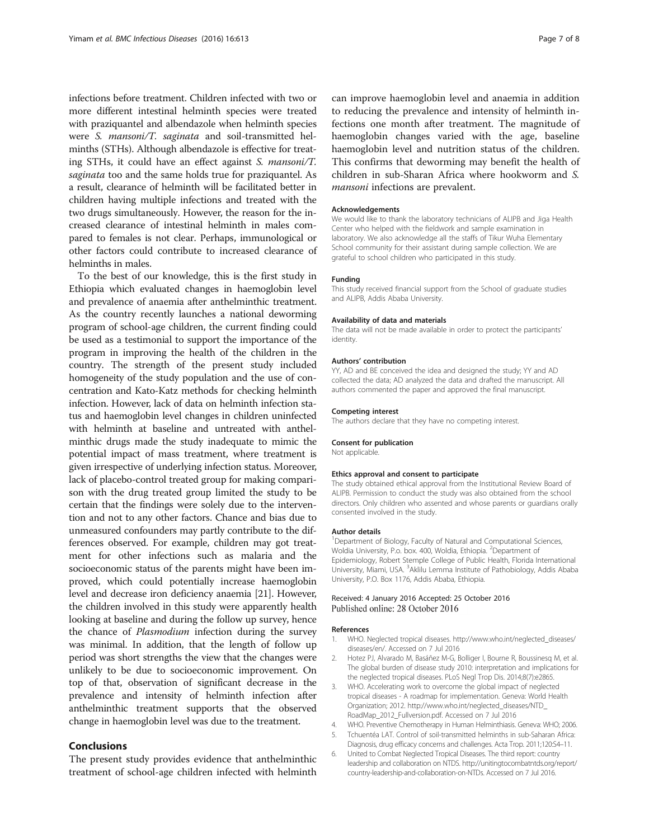infections before treatment. Children infected with two or more different intestinal helminth species were treated with praziquantel and albendazole when helminth species were S. mansoni/T. saginata and soil-transmitted helminths (STHs). Although albendazole is effective for treating STHs, it could have an effect against S. mansoni/T. saginata too and the same holds true for praziquantel. As a result, clearance of helminth will be facilitated better in children having multiple infections and treated with the two drugs simultaneously. However, the reason for the increased clearance of intestinal helminth in males compared to females is not clear. Perhaps, immunological or other factors could contribute to increased clearance of helminths in males.

To the best of our knowledge, this is the first study in Ethiopia which evaluated changes in haemoglobin level and prevalence of anaemia after anthelminthic treatment. As the country recently launches a national deworming program of school-age children, the current finding could be used as a testimonial to support the importance of the program in improving the health of the children in the country. The strength of the present study included homogeneity of the study population and the use of concentration and Kato-Katz methods for checking helminth infection. However, lack of data on helminth infection status and haemoglobin level changes in children uninfected with helminth at baseline and untreated with anthelminthic drugs made the study inadequate to mimic the potential impact of mass treatment, where treatment is given irrespective of underlying infection status. Moreover, lack of placebo-control treated group for making comparison with the drug treated group limited the study to be certain that the findings were solely due to the intervention and not to any other factors. Chance and bias due to unmeasured confounders may partly contribute to the differences observed. For example, children may got treatment for other infections such as malaria and the socioeconomic status of the parents might have been improved, which could potentially increase haemoglobin level and decrease iron deficiency anaemia [21]. However, the children involved in this study were apparently health looking at baseline and during the follow up survey, hence the chance of *Plasmodium* infection during the survey was minimal. In addition, that the length of follow up period was short strengths the view that the changes were unlikely to be due to socioeconomic improvement. On top of that, observation of significant decrease in the prevalence and intensity of helminth infection after anthelminthic treatment supports that the observed change in haemoglobin level was due to the treatment.

## **Conclusions**

The present study provides evidence that anthelminthic treatment of school-age children infected with helminth can improve haemoglobin level and anaemia in addition to reducing the prevalence and intensity of helminth infections one month after treatment. The magnitude of haemoglobin changes varied with the age, baseline haemoglobin level and nutrition status of the children. This confirms that deworming may benefit the health of children in sub-Sharan Africa where hookworm and S. mansoni infections are prevalent.

#### Acknowledgements

We would like to thank the laboratory technicians of ALIPB and Jiga Health Center who helped with the fieldwork and sample examination in laboratory. We also acknowledge all the staffs of Tikur Wuha Elementary School community for their assistant during sample collection. We are grateful to school children who participated in this study.

#### Funding

This study received financial support from the School of graduate studies and ALIPB, Addis Ababa University.

#### Availability of data and materials

The data will not be made available in order to protect the participants' identity.

#### Authors' contribution

YY, AD and BE conceived the idea and designed the study; YY and AD collected the data; AD analyzed the data and drafted the manuscript. All authors commented the paper and approved the final manuscript.

#### Competing interest

The authors declare that they have no competing interest.

#### Consent for publication

Not applicable.

#### Ethics approval and consent to participate

The study obtained ethical approval from the Institutional Review Board of ALIPB. Permission to conduct the study was also obtained from the school directors. Only children who assented and whose parents or guardians orally consented involved in the study.

#### Author details

<sup>1</sup>Department of Biology, Faculty of Natural and Computational Sciences, Woldia University, P.o. box. 400, Woldia, Ethiopia. <sup>2</sup>Department of Epidemiology, Robert Stemple College of Public Health, Florida International University, Miami, USA. <sup>3</sup> Aklilu Lemma Institute of Pathobiology, Addis Ababa University, P.O. Box 1176, Addis Ababa, Ethiopia.

#### Received: 4 January 2016 Accepted: 25 October 2016 Published online: 28 October 2016

#### References

- 1. WHO. Neglected tropical diseases. http://www.who.int/neglected\_diseases/ diseases/en/. Accessed on 7 Jul 2016
- 2. Hotez PJ, Alvarado M, Basáñez M-G, Bolliger I, Bourne R, Boussinesq M, et al. The global burden of disease study 2010: interpretation and implications for the neglected tropical diseases. PLoS Negl Trop Dis. 2014;8(7):e2865.
- 3. WHO. Accelerating work to overcome the global impact of neglected tropical diseases - A roadmap for implementation. Geneva: World Health Organization; 2012. http://www.who.int/neglected\_diseases/NTD\_ RoadMap\_2012\_Fullversion.pdf. Accessed on 7 Jul 2016
- 4. WHO. Preventive Chemotherapy in Human Helminthiasis. Geneva: WHO; 2006.
- 5. Tchuentéa LAT. Control of soil-transmitted helminths in sub-Saharan Africa: Diagnosis, drug efficacy concerns and challenges. Acta Trop. 2011;120:S4–11.
- 6. United to Combat Neglected Tropical Diseases. The third report: country leadership and collaboration on NTDS. http://unitingtocombatntds.org/report/ country-leadership-and-collaboration-on-NTDs. Accessed on 7 Jul 2016.